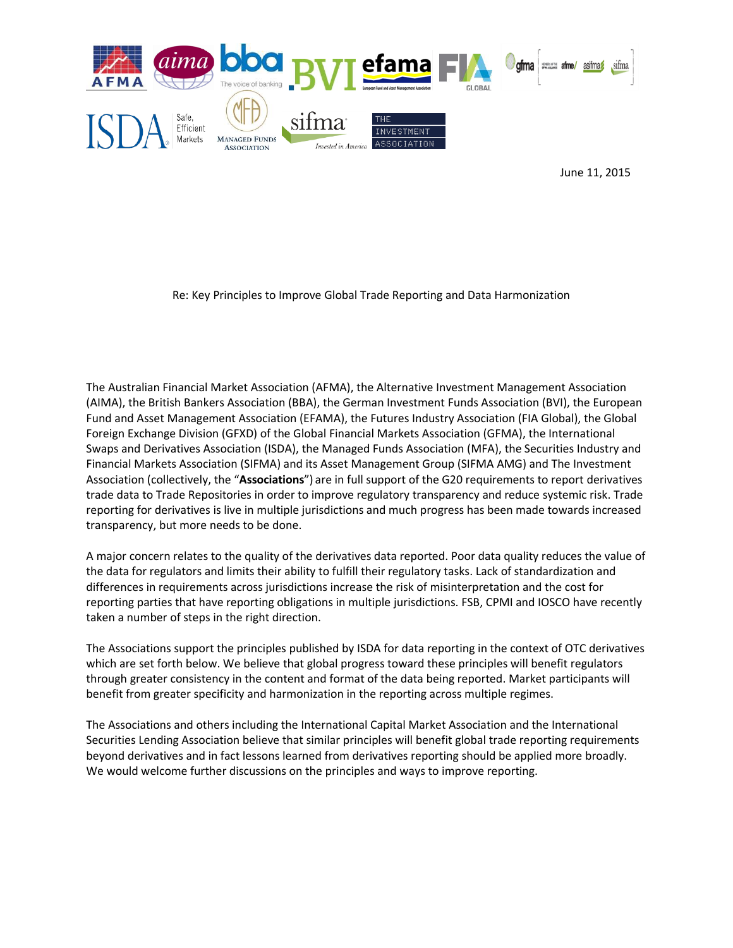

June 11, 2015

Re: Key Principles to Improve Global Trade Reporting and Data Harmonization

The Australian Financial Market Association (AFMA), the Alternative Investment Management Association (AIMA), the British Bankers Association (BBA), the German Investment Funds Association (BVI), the European Fund and Asset Management Association (EFAMA), the Futures Industry Association (FIA Global), the Global Foreign Exchange Division (GFXD) of the Global Financial Markets Association (GFMA), the International Swaps and Derivatives Association (ISDA), the Managed Funds Association (MFA), the Securities Industry and Financial Markets Association (SIFMA) and its Asset Management Group (SIFMA AMG) and The Investment Association (collectively, the "**Associations**") are in full support of the G20 requirements to report derivatives trade data to Trade Repositories in order to improve regulatory transparency and reduce systemic risk. Trade reporting for derivatives is live in multiple jurisdictions and much progress has been made towards increased transparency, but more needs to be done.

A major concern relates to the quality of the derivatives data reported. Poor data quality reduces the value of the data for regulators and limits their ability to fulfill their regulatory tasks. Lack of standardization and differences in requirements across jurisdictions increase the risk of misinterpretation and the cost for reporting parties that have reporting obligations in multiple jurisdictions. FSB, CPMI and IOSCO have recently taken a number of steps in the right direction.

The Associations support the principles published by ISDA for data reporting in the context of OTC derivatives which are set forth below. We believe that global progress toward these principles will benefit regulators through greater consistency in the content and format of the data being reported. Market participants will benefit from greater specificity and harmonization in the reporting across multiple regimes.

The Associations and others including the International Capital Market Association and the International Securities Lending Association believe that similar principles will benefit global trade reporting requirements beyond derivatives and in fact lessons learned from derivatives reporting should be applied more broadly. We would welcome further discussions on the principles and ways to improve reporting.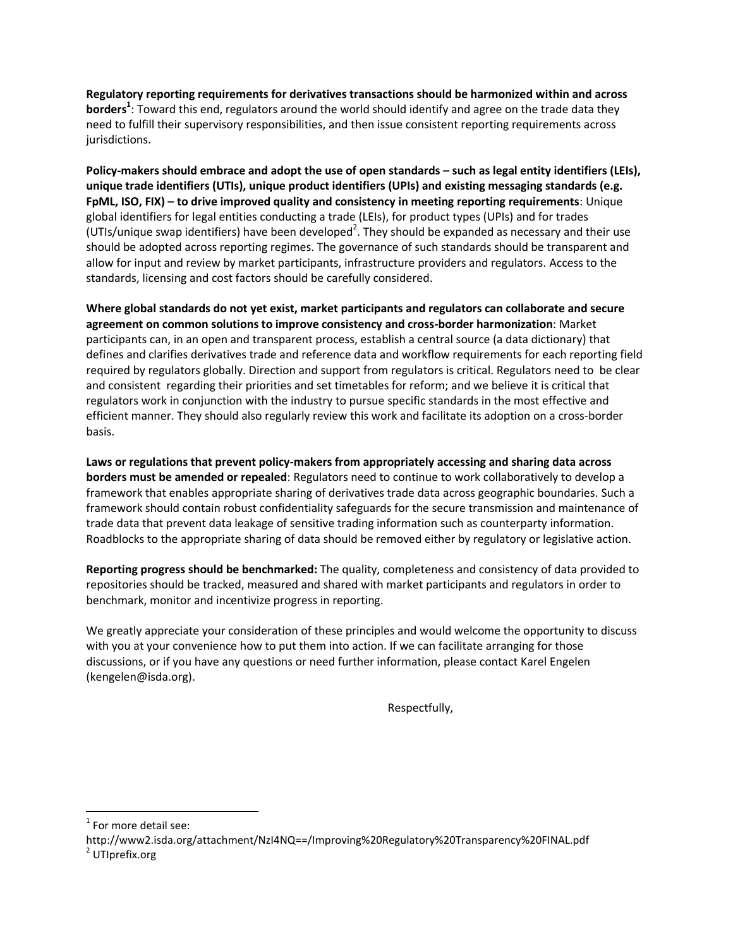**Regulatory reporting requirements for derivatives transactions should be harmonized within and across borders<sup>1</sup>** : Toward this end, regulators around the world should identify and agree on the trade data they need to fulfill their supervisory responsibilities, and then issue consistent reporting requirements across jurisdictions.

**Policy-makers should embrace and adopt the use of open standards – such as legal entity identifiers (LEIs), unique trade identifiers (UTIs), unique product identifiers (UPIs) and existing messaging standards (e.g. FpML, ISO, FIX) – to drive improved quality and consistency in meeting reporting requirements**: Unique global identifiers for legal entities conducting a trade (LEIs), for product types (UPIs) and for trades (UTIs/unique swap identifiers) have been developed<sup>2</sup>. They should be expanded as necessary and their use should be adopted across reporting regimes. The governance of such standards should be transparent and allow for input and review by market participants, infrastructure providers and regulators. Access to the standards, licensing and cost factors should be carefully considered.

**Where global standards do not yet exist, market participants and regulators can collaborate and secure agreement on common solutions to improve consistency and cross-border harmonization**: Market participants can, in an open and transparent process, establish a central source (a data dictionary) that defines and clarifies derivatives trade and reference data and workflow requirements for each reporting field required by regulators globally. Direction and support from regulators is critical. Regulators need to be clear and consistent regarding their priorities and set timetables for reform; and we believe it is critical that regulators work in conjunction with the industry to pursue specific standards in the most effective and efficient manner. They should also regularly review this work and facilitate its adoption on a cross-border basis.

**Laws or regulations that prevent policy-makers from appropriately accessing and sharing data across borders must be amended or repealed**: Regulators need to continue to work collaboratively to develop a framework that enables appropriate sharing of derivatives trade data across geographic boundaries. Such a framework should contain robust confidentiality safeguards for the secure transmission and maintenance of trade data that prevent data leakage of sensitive trading information such as counterparty information. Roadblocks to the appropriate sharing of data should be removed either by regulatory or legislative action.

**Reporting progress should be benchmarked:** The quality, completeness and consistency of data provided to repositories should be tracked, measured and shared with market participants and regulators in order to benchmark, monitor and incentivize progress in reporting.

We greatly appreciate your consideration of these principles and would welcome the opportunity to discuss with you at your convenience how to put them into action. If we can facilitate arranging for those discussions, or if you have any questions or need further information, please contact Karel Engelen (kengelen@isda.org).

Respectfully,

 $1$  For more detail see:

 $\overline{\phantom{a}}$ 

http://www2.isda.org/attachment/NzI4NQ==/Improving%20Regulatory%20Transparency%20FINAL.pdf <sup>2</sup> UTIprefix.org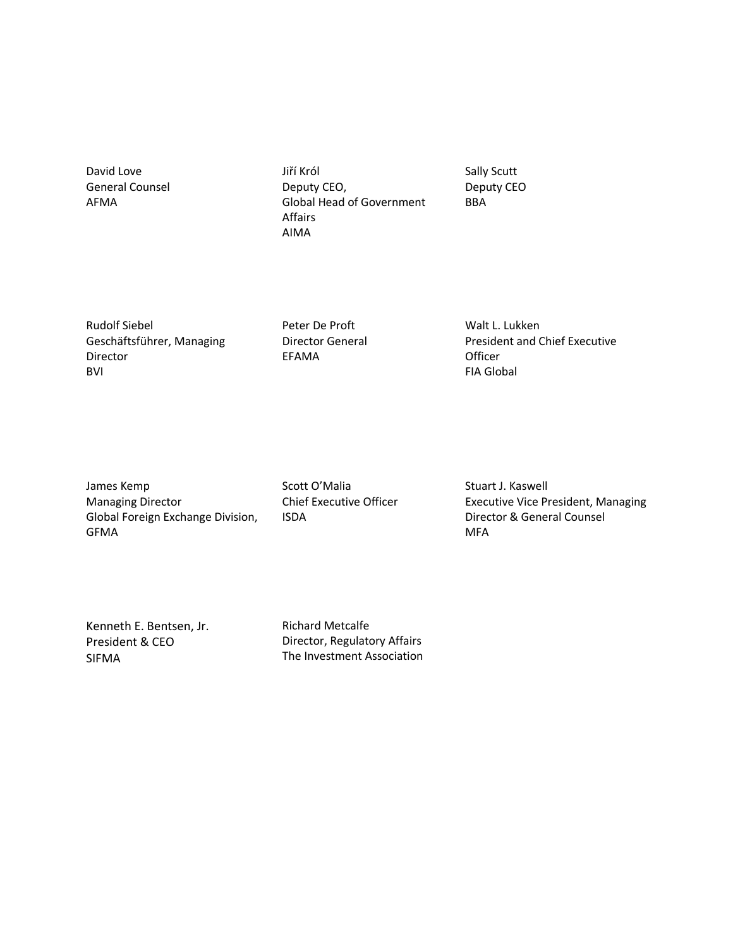David Love General Counsel AFMA

Jiří Król Deputy CEO, Global Head of Government Affairs AIMA

Sally Scutt Deputy CEO BBA

Rudolf Siebel Geschäftsführer, Managing Director BVI

Peter De Proft Director General EFAMA

Walt L. Lukken President and Chief Executive Officer FIA Global

James Kemp Managing Director Global Foreign Exchange Division, GFMA

Scott O'Malia Chief Executive Officer ISDA

Stuart J. Kaswell Executive Vice President, Managing Director & General Counsel MFA

Kenneth E. Bentsen, Jr. President & CEO SIFMA

Richard Metcalfe Director, Regulatory Affairs The Investment Association